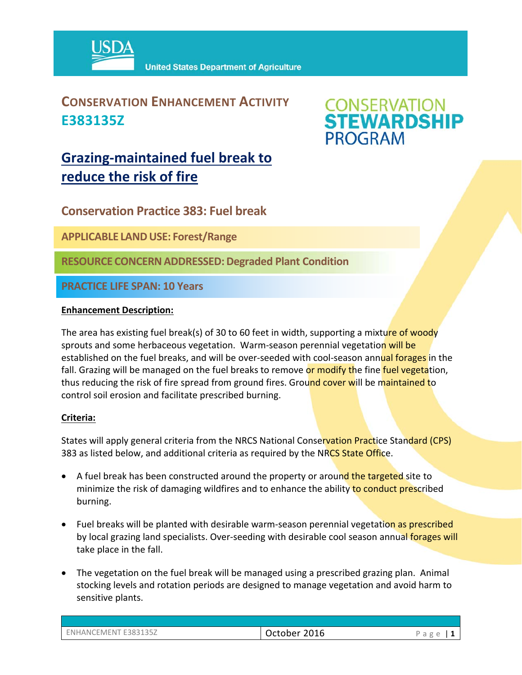

### **CONSERVATION ENHANCEMENT ACTIVITY E383135Z**

# **CONSERVATION<br>STEWARDSHIP PROGRAM**

## **Grazing‐maintained fuel break to reduce the risk of fire**

**Conservation Practice 383: Fuel break** 

**APPLICABLE LANDUSE: Forest/Range**

**RESOURCE CONCERNADDRESSED:Degraded Plant Condition**

**PRACTICE LIFE SPAN: 10 Years**

#### **Enhancement Description:**

The area has existing fuel break(s) of 30 to 60 feet in width, supporting a mixture of woody sprouts and some herbaceous vegetation. Warm-season perennial vegetation will be established on the fuel breaks, and will be over-seeded with cool-season annual forages in the fall. Grazing will be managed on the fuel breaks to remove or modify the fine fuel vegetation, thus reducing the risk of fire spread from ground fires. Ground cover will be maintained to control soil erosion and facilitate prescribed burning.

#### **Criteria:**

States will apply general criteria from the NRCS National Conservation Practice Standard (CPS) 383 as listed below, and additional criteria as required by the NRCS State Office.

- A fuel break has been constructed around the property or around the targeted site to minimize the risk of damaging wildfires and to enhance the ability to conduct prescribed burning.
- Fuel breaks will be planted with desirable warm-season perennial vegetation as prescribed by local grazing land specialists. Over-seeding with desirable cool season annual forages will take place in the fall.
- The vegetation on the fuel break will be managed using a prescribed grazing plan. Animal stocking levels and rotation periods are designed to manage vegetation and avoid harm to sensitive plants.

| E383135Z<br>ENHANCF <sup>®</sup><br><b>LEMENT</b><br>____ | 2016<br>October<br>___ | ◡<br>d<br>$\overline{\phantom{a}}$ |
|-----------------------------------------------------------|------------------------|------------------------------------|